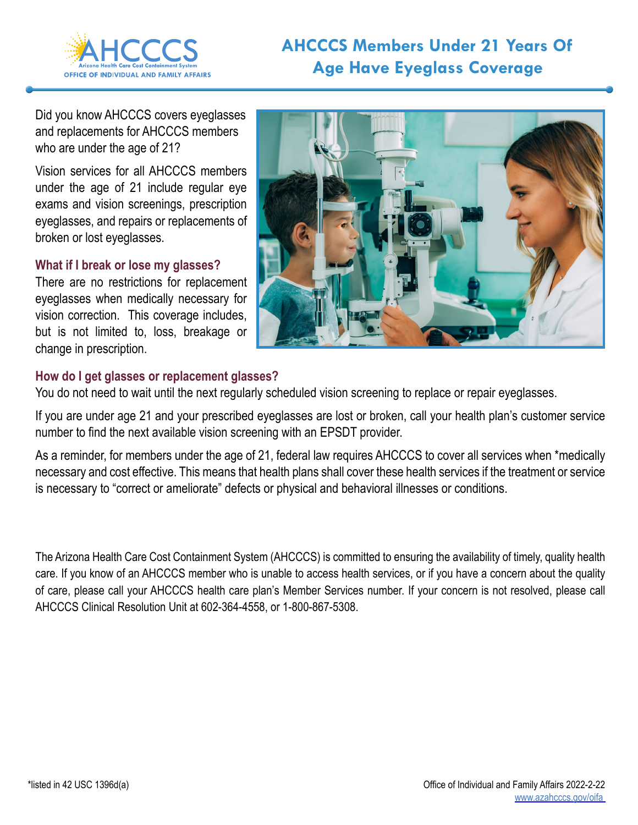

## **AHCCCS Members Under 21 Years Of Age Have Eyeglass Coverage**

Did you know AHCCCS covers eyeglasses and replacements for AHCCCS members who are under the age of 21?

Vision services for all AHCCCS members under the age of 21 include regular eye exams and vision screenings, prescription eyeglasses, and repairs or replacements of broken or lost eyeglasses.

## **What if I break or lose my glasses?**

There are no restrictions for replacement eyeglasses when medically necessary for vision correction. This coverage includes, but is not limited to, loss, breakage or change in prescription.



## **How do I get glasses or replacement glasses?**

You do not need to wait until the next regularly scheduled vision screening to replace or repair eyeglasses.

If you are under age 21 and your prescribed eyeglasses are lost or broken, call your health plan's customer service number to find the next available vision screening with an EPSDT provider.

As a reminder, for members under the age of 21, federal law requires AHCCCS to cover all services when \*medically necessary and cost effective. This means that health plans shall cover these health services if the treatment or service is necessary to "correct or ameliorate" defects or physical and behavioral illnesses or conditions.

The Arizona Health Care Cost Containment System (AHCCCS) is committed to ensuring the availability of timely, quality health care. If you know of an AHCCCS member who is unable to access health services, or if you have a concern about the quality of care, please call your AHCCCS health care plan's Member Services number. If your concern is not resolved, please call AHCCCS Clinical Resolution Unit at 602-364-4558, or 1-800-867-5308.